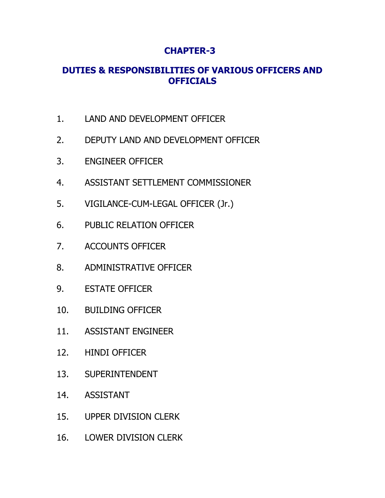## **CHAPTER-3**

## **DUTIES & RESPONSIBILITIES OF VARIOUS OFFICERS AND OFFICIALS**

- 1. LAND AND DEVELOPMENT OFFICER
- 2. DEPUTY LAND AND DEVELOPMENT OFFICER
- 3. ENGINEER OFFICER
- 4. ASSISTANT SETTLEMENT COMMISSIONER
- 5. VIGILANCE-CUM-LEGAL OFFICER (Jr.)
- 6. PUBLIC RELATION OFFICER
- 7. ACCOUNTS OFFICER
- 8. ADMINISTRATIVE OFFICER
- 9. ESTATE OFFICER
- 10. BUILDING OFFICER
- 11. ASSISTANT ENGINEER
- 12. HINDI OFFICER
- 13. SUPERINTENDENT
- 14. ASSISTANT
- 15. UPPER DIVISION CLERK
- 16. LOWER DIVISION CLERK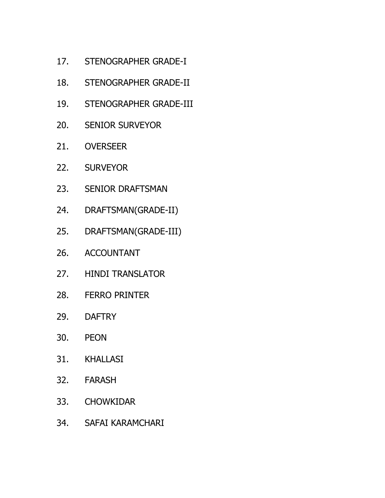- 17. STENOGRAPHER GRADE-I
- 18. STENOGRAPHER GRADE-II
- 19. STENOGRAPHER GRADE-III
- 20. SENIOR SURVEYOR
- 21. OVERSEER
- 22. SURVEYOR
- 23. SENIOR DRAFTSMAN
- 24. DRAFTSMAN(GRADE-II)
- 25. DRAFTSMAN(GRADE-III)
- 26. ACCOUNTANT
- 27. HINDI TRANSLATOR
- 28. FERRO PRINTER
- 29. DAFTRY
- 30. PEON
- 31. KHALLASI
- 32. FARASH
- 33. CHOWKIDAR
- 34. SAFAI KARAMCHARI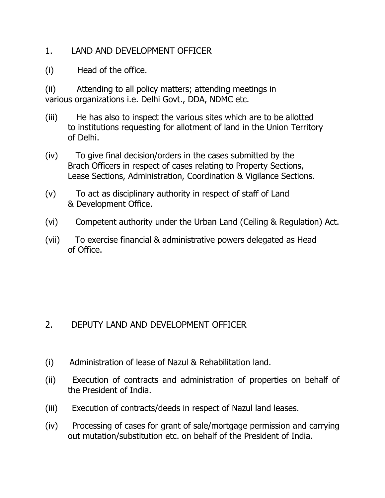## 1. LAND AND DEVELOPMENT OFFICER

(i) Head of the office.

(ii) Attending to all policy matters; attending meetings in various organizations i.e. Delhi Govt., DDA, NDMC etc.

- (iii) He has also to inspect the various sites which are to be allotted to institutions requesting for allotment of land in the Union Territory of Delhi.
- (iv) To give final decision/orders in the cases submitted by the Brach Officers in respect of cases relating to Property Sections, Lease Sections, Administration, Coordination & Vigilance Sections.
- (v) To act as disciplinary authority in respect of staff of Land & Development Office.
- (vi) Competent authority under the Urban Land (Ceiling & Regulation) Act.
- (vii) To exercise financial & administrative powers delegated as Head of Office.

## 2. DEPUTY LAND AND DEVELOPMENT OFFICER

- (i) Administration of lease of Nazul & Rehabilitation land.
- (ii) Execution of contracts and administration of properties on behalf of the President of India.
- (iii) Execution of contracts/deeds in respect of Nazul land leases.
- (iv) Processing of cases for grant of sale/mortgage permission and carrying out mutation/substitution etc. on behalf of the President of India.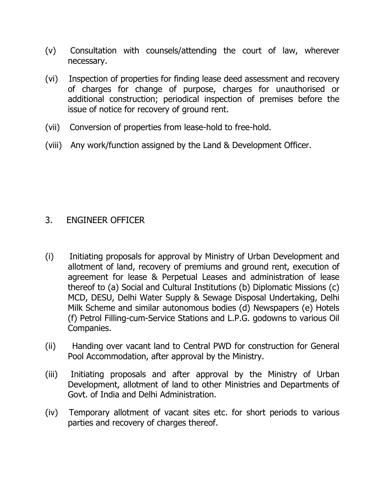- (v) Consultation with counsels/attending the court of law, wherever necessary.
- (vi) Inspection of properties for finding lease deed assessment and recovery of charges for change of purpose, charges for unauthorised or additional construction; periodical inspection of premises before the issue of notice for recovery of ground rent.
- (vii) Conversion of properties from lease-hold to free-hold.
- (viii) Any work/function assigned by the Land & Development Officer.

# 3. ENGINEER OFFICER

- (i) Initiating proposals for approval by Ministry of Urban Development and allotment of land, recovery of premiums and ground rent, execution of agreement for lease & Perpetual Leases and administration of lease thereof to (a) Social and Cultural Institutions (b) Diplomatic Missions (c) MCD, DESU, Delhi Water Supply & Sewage Disposal Undertaking, Delhi Milk Scheme and similar autonomous bodies (d) Newspapers (e) Hotels (f) Petrol Filling-cum-Service Stations and L.P.G. godowns to various Oil Companies.
- (ii) Handing over vacant land to Central PWD for construction for General Pool Accommodation, after approval by the Ministry.
- (iii) Initiating proposals and after approval by the Ministry of Urban Development, allotment of land to other Ministries and Departments of Govt. of India and Delhi Administration.
- (iv) Temporary allotment of vacant sites etc. for short periods to various parties and recovery of charges thereof.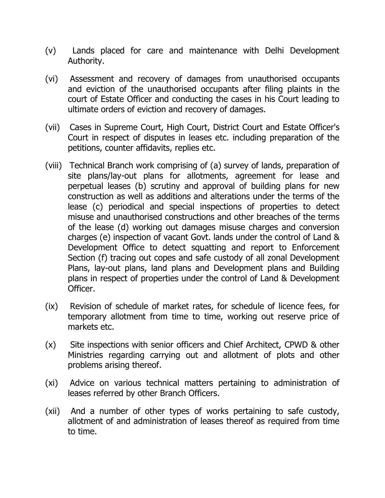- (v) Lands placed for care and maintenance with Delhi Development Authority.
- (vi) Assessment and recovery of damages from unauthorised occupants and eviction of the unauthorised occupants after filing plaints in the court of Estate Officer and conducting the cases in his Court leading to ultimate orders of eviction and recovery of damages.
- (vii) Cases in Supreme Court, High Court, District Court and Estate Officer's Court in respect of disputes in leases etc. including preparation of the petitions, counter affidavits, replies etc.
- (viii) Technical Branch work comprising of (a) survey of lands, preparation of site plans/lay-out plans for allotments, agreement for lease and perpetual leases (b) scrutiny and approval of building plans for new construction as well as additions and alterations under the terms of the lease (c) periodical and special inspections of properties to detect misuse and unauthorised constructions and other breaches of the terms of the lease (d) working out damages misuse charges and conversion charges (e) inspection of vacant Govt. lands under the control of Land & Development Office to detect squatting and report to Enforcement Section (f) tracing out copes and safe custody of all zonal Development Plans, lay-out plans, land plans and Development plans and Building plans in respect of properties under the control of Land & Development Officer.
- (ix) Revision of schedule of market rates, for schedule of licence fees, for temporary allotment from time to time, working out reserve price of markets etc.
- (x) Site inspections with senior officers and Chief Architect, CPWD & other Ministries regarding carrying out and allotment of plots and other problems arising thereof.
- (xi) Advice on various technical matters pertaining to administration of leases referred by other Branch Officers.
- (xii) And a number of other types of works pertaining to safe custody, allotment of and administration of leases thereof as required from time to time.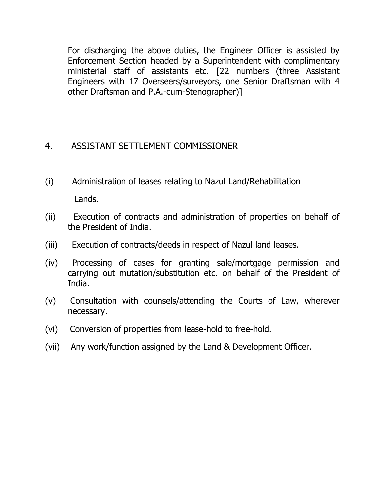For discharging the above duties, the Engineer Officer is assisted by Enforcement Section headed by a Superintendent with complimentary ministerial staff of assistants etc. [22 numbers (three Assistant Engineers with 17 Overseers/surveyors, one Senior Draftsman with 4 other Draftsman and P.A.-cum-Stenographer)]

## 4. ASSISTANT SETTI EMENT COMMISSIONER

- (i) Administration of leases relating to Nazul Land/Rehabilitation Lands.
- (ii) Execution of contracts and administration of properties on behalf of the President of India.
- (iii) Execution of contracts/deeds in respect of Nazul land leases.
- (iv) Processing of cases for granting sale/mortgage permission and carrying out mutation/substitution etc. on behalf of the President of India.
- (v) Consultation with counsels/attending the Courts of Law, wherever necessary.
- (vi) Conversion of properties from lease-hold to free-hold.
- (vii) Any work/function assigned by the Land & Development Officer.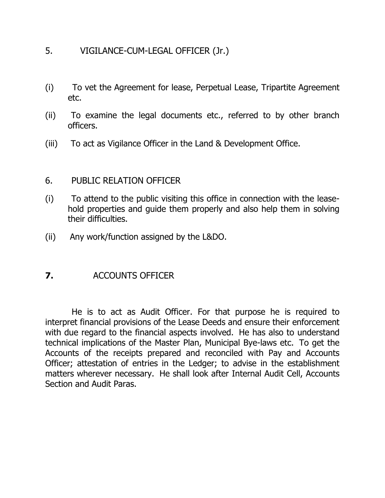#### 5. VIGILANCE-CUM-LEGAL OFFICER (Jr.)

- (i) To vet the Agreement for lease, Perpetual Lease, Tripartite Agreement etc.
- (ii) To examine the legal documents etc., referred to by other branch officers.
- (iii) To act as Vigilance Officer in the Land & Development Office.

## 6. PUBLIC RELATION OFFICER

- (i) To attend to the public visiting this office in connection with the leasehold properties and guide them properly and also help them in solving their difficulties.
- (ii) Any work/function assigned by the L&DO.

## **7.** ACCOUNTS OFFICER

 He is to act as Audit Officer. For that purpose he is required to interpret financial provisions of the Lease Deeds and ensure their enforcement with due regard to the financial aspects involved. He has also to understand technical implications of the Master Plan, Municipal Bye-laws etc. To get the Accounts of the receipts prepared and reconciled with Pay and Accounts Officer; attestation of entries in the Ledger; to advise in the establishment matters wherever necessary. He shall look after Internal Audit Cell, Accounts Section and Audit Paras.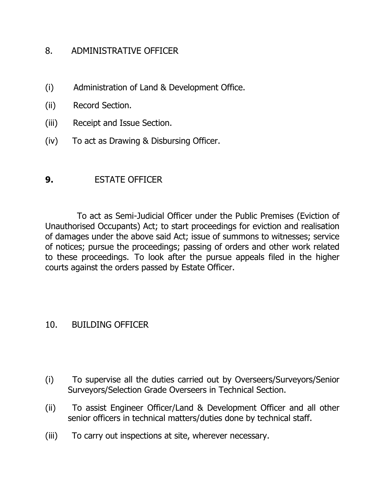## 8. ADMINISTRATIVE OFFICER

- (i) Administration of Land & Development Office.
- (ii) Record Section.
- (iii) Receipt and Issue Section.
- (iv) To act as Drawing & Disbursing Officer.

## **9.** ESTATE OFFICER

 To act as Semi-Judicial Officer under the Public Premises (Eviction of Unauthorised Occupants) Act; to start proceedings for eviction and realisation of damages under the above said Act; issue of summons to witnesses; service of notices; pursue the proceedings; passing of orders and other work related to these proceedings. To look after the pursue appeals filed in the higher courts against the orders passed by Estate Officer.

## 10. BUILDING OFFICER

- (i) To supervise all the duties carried out by Overseers/Surveyors/Senior Surveyors/Selection Grade Overseers in Technical Section.
- (ii) To assist Engineer Officer/Land & Development Officer and all other senior officers in technical matters/duties done by technical staff.
- (iii) To carry out inspections at site, wherever necessary.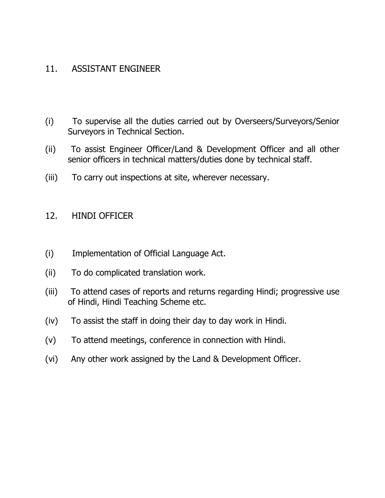#### 11. ASSISTANT ENGINEER

- (i) To supervise all the duties carried out by Overseers/Surveyors/Senior Surveyors in Technical Section.
- (ii) To assist Engineer Officer/Land & Development Officer and all other senior officers in technical matters/duties done by technical staff.
- (iii) To carry out inspections at site, wherever necessary.

#### 12. HINDI OFFICER

- (i) Implementation of Official Language Act.
- (ii) To do complicated translation work.
- (iii) To attend cases of reports and returns regarding Hindi; progressive use of Hindi, Hindi Teaching Scheme etc.
- (iv) To assist the staff in doing their day to day work in Hindi.
- (v) To attend meetings, conference in connection with Hindi.
- (vi) Any other work assigned by the Land & Development Officer.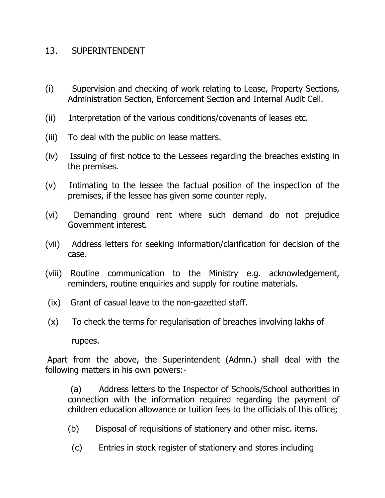## 13. SUPERINTENDENT

- (i) Supervision and checking of work relating to Lease, Property Sections, Administration Section, Enforcement Section and Internal Audit Cell.
- (ii) Interpretation of the various conditions/covenants of leases etc.
- (iii) To deal with the public on lease matters.
- (iv) Issuing of first notice to the Lessees regarding the breaches existing in the premises.
- (v) Intimating to the lessee the factual position of the inspection of the premises, if the lessee has given some counter reply.
- (vi) Demanding ground rent where such demand do not prejudice Government interest.
- (vii) Address letters for seeking information/clarification for decision of the case.
- (viii) Routine communication to the Ministry e.g. acknowledgement, reminders, routine enquiries and supply for routine materials.
- (ix) Grant of casual leave to the non-gazetted staff.
- (x) To check the terms for regularisation of breaches involving lakhs of

rupees.

Apart from the above, the Superintendent (Admn.) shall deal with the following matters in his own powers:-

(a) Address letters to the Inspector of Schools/School authorities in connection with the information required regarding the payment of children education allowance or tuition fees to the officials of this office;

- (b) Disposal of requisitions of stationery and other misc. items.
- (c) Entries in stock register of stationery and stores including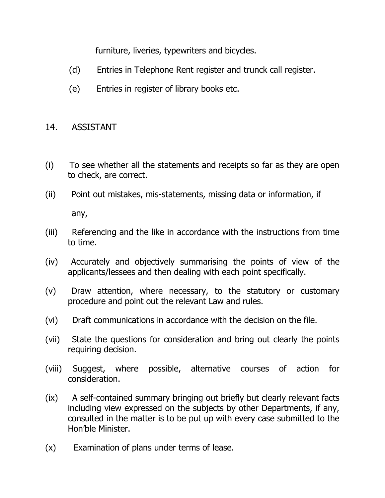furniture, liveries, typewriters and bicycles.

- (d) Entries in Telephone Rent register and trunck call register.
- (e) Entries in register of library books etc.

## 14. ASSISTANT

- (i) To see whether all the statements and receipts so far as they are open to check, are correct.
- (ii) Point out mistakes, mis-statements, missing data or information, if

any,

- (iii) Referencing and the like in accordance with the instructions from time to time.
- (iv) Accurately and objectively summarising the points of view of the applicants/lessees and then dealing with each point specifically.
- (v) Draw attention, where necessary, to the statutory or customary procedure and point out the relevant Law and rules.
- (vi) Draft communications in accordance with the decision on the file.
- (vii) State the questions for consideration and bring out clearly the points requiring decision.
- (viii) Suggest, where possible, alternative courses of action for consideration.
- (ix) A self-contained summary bringing out briefly but clearly relevant facts including view expressed on the subjects by other Departments, if any, consulted in the matter is to be put up with every case submitted to the Hon'ble Minister.
- (x) Examination of plans under terms of lease.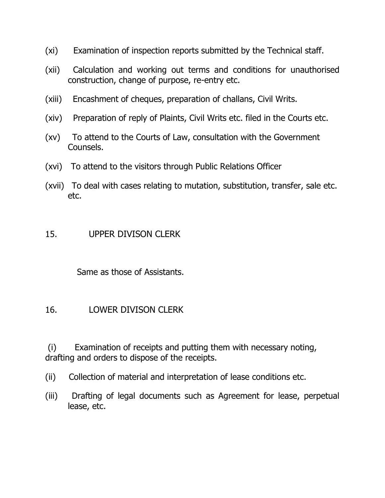- (xi) Examination of inspection reports submitted by the Technical staff.
- (xii) Calculation and working out terms and conditions for unauthorised construction, change of purpose, re-entry etc.
- (xiii) Encashment of cheques, preparation of challans, Civil Writs.
- (xiv) Preparation of reply of Plaints, Civil Writs etc. filed in the Courts etc.
- (xv) To attend to the Courts of Law, consultation with the Government Counsels.
- (xvi) To attend to the visitors through Public Relations Officer
- (xvii) To deal with cases relating to mutation, substitution, transfer, sale etc. etc.

#### 15. UPPER DIVISON CLERK

Same as those of Assistants.

#### 16. LOWER DIVISON CLERK

 (i) Examination of receipts and putting them with necessary noting, drafting and orders to dispose of the receipts.

- (ii) Collection of material and interpretation of lease conditions etc.
- (iii) Drafting of legal documents such as Agreement for lease, perpetual lease, etc.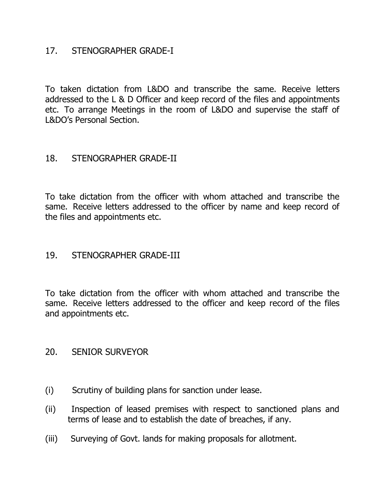## 17. STENOGRAPHER GRADE-I

To taken dictation from L&DO and transcribe the same. Receive letters addressed to the L & D Officer and keep record of the files and appointments etc. To arrange Meetings in the room of L&DO and supervise the staff of L&DO's Personal Section.

## 18. STENOGRAPHER GRADE-II

To take dictation from the officer with whom attached and transcribe the same. Receive letters addressed to the officer by name and keep record of the files and appointments etc.

#### 19. STENOGRAPHER GRADE-III

To take dictation from the officer with whom attached and transcribe the same. Receive letters addressed to the officer and keep record of the files and appointments etc.

#### 20. SENIOR SURVEYOR

- (i) Scrutiny of building plans for sanction under lease.
- (ii) Inspection of leased premises with respect to sanctioned plans and terms of lease and to establish the date of breaches, if any.
- (iii) Surveying of Govt. lands for making proposals for allotment.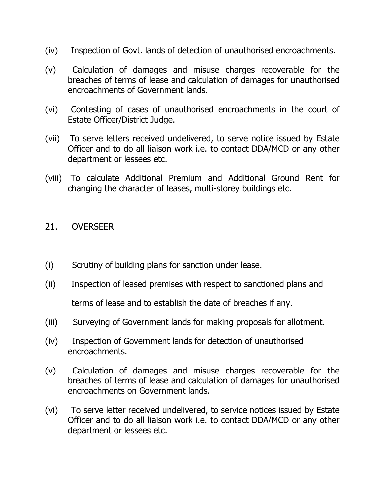- (iv) Inspection of Govt. lands of detection of unauthorised encroachments.
- (v) Calculation of damages and misuse charges recoverable for the breaches of terms of lease and calculation of damages for unauthorised encroachments of Government lands.
- (vi) Contesting of cases of unauthorised encroachments in the court of Estate Officer/District Judge.
- (vii) To serve letters received undelivered, to serve notice issued by Estate Officer and to do all liaison work i.e. to contact DDA/MCD or any other department or lessees etc.
- (viii) To calculate Additional Premium and Additional Ground Rent for changing the character of leases, multi-storey buildings etc.

#### 21. OVERSEER

- (i) Scrutiny of building plans for sanction under lease.
- (ii) Inspection of leased premises with respect to sanctioned plans and

terms of lease and to establish the date of breaches if any.

- (iii) Surveying of Government lands for making proposals for allotment.
- (iv) Inspection of Government lands for detection of unauthorised encroachments.
- (v) Calculation of damages and misuse charges recoverable for the breaches of terms of lease and calculation of damages for unauthorised encroachments on Government lands.
- (vi) To serve letter received undelivered, to service notices issued by Estate Officer and to do all liaison work i.e. to contact DDA/MCD or any other department or lessees etc.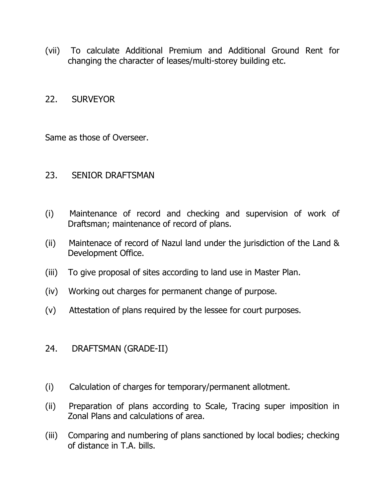- (vii) To calculate Additional Premium and Additional Ground Rent for changing the character of leases/multi-storey building etc.
- 22. SURVEYOR

Same as those of Overseer.

- 23. SENIOR DRAFTSMAN
- (i) Maintenance of record and checking and supervision of work of Draftsman; maintenance of record of plans.
- (ii) Maintenace of record of Nazul land under the jurisdiction of the Land & Development Office.
- (iii) To give proposal of sites according to land use in Master Plan.
- (iv) Working out charges for permanent change of purpose.
- (v) Attestation of plans required by the lessee for court purposes.
- 24. DRAFTSMAN (GRADE-II)
- (i) Calculation of charges for temporary/permanent allotment.
- (ii) Preparation of plans according to Scale, Tracing super imposition in Zonal Plans and calculations of area.
- (iii) Comparing and numbering of plans sanctioned by local bodies; checking of distance in T.A. bills.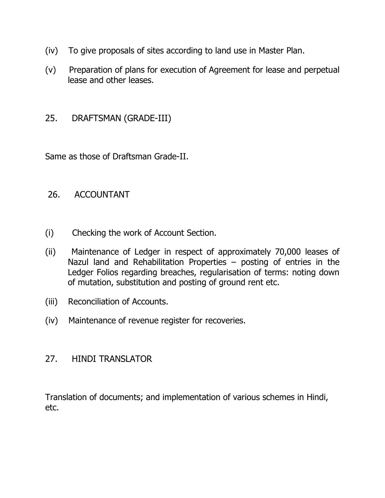- (iv) To give proposals of sites according to land use in Master Plan.
- (v) Preparation of plans for execution of Agreement for lease and perpetual lease and other leases.

#### 25. DRAFTSMAN (GRADE-III)

Same as those of Draftsman Grade-II.

#### 26. ACCOUNTANT

- (i) Checking the work of Account Section.
- (ii) Maintenance of Ledger in respect of approximately 70,000 leases of Nazul land and Rehabilitation Properties – posting of entries in the Ledger Folios regarding breaches, regularisation of terms: noting down of mutation, substitution and posting of ground rent etc.
- (iii) Reconciliation of Accounts.
- (iv) Maintenance of revenue register for recoveries.

#### 27. HINDI TRANSLATOR

Translation of documents; and implementation of various schemes in Hindi, etc.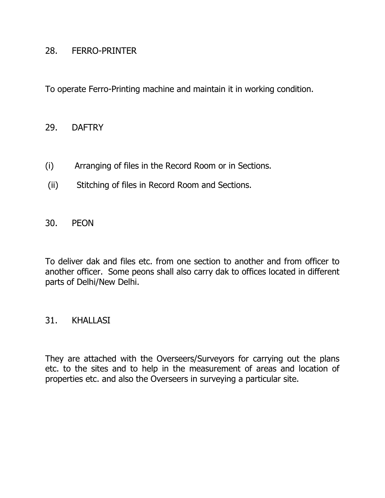#### 28. FERRO-PRINTER

To operate Ferro-Printing machine and maintain it in working condition.

#### 29. DAFTRY

- (i) Arranging of files in the Record Room or in Sections.
- (ii) Stitching of files in Record Room and Sections.
- 30. PEON

To deliver dak and files etc. from one section to another and from officer to another officer. Some peons shall also carry dak to offices located in different parts of Delhi/New Delhi.

#### 31. KHALLASI

They are attached with the Overseers/Surveyors for carrying out the plans etc. to the sites and to help in the measurement of areas and location of properties etc. and also the Overseers in surveying a particular site.